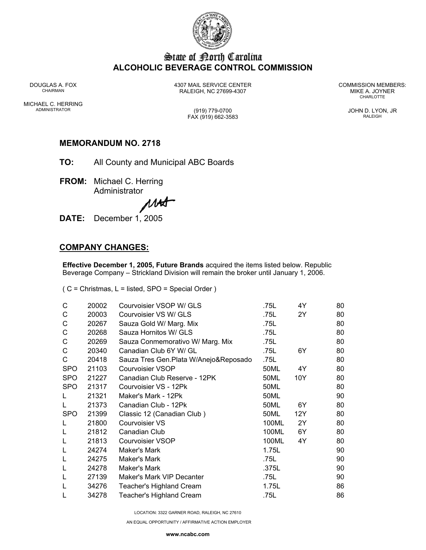

# State of Borth Carolina **ALCOHOLIC BEVERAGE CONTROL COMMISSION**

DOUGLAS A. FOX 4307 MAIL SERVICE CENTER COMMISSION MEMBERS: CHAIRMAN RALEIGH, NC 27699-4307 MIKE A. JOYNER

**CHARLOTTE** 

MICHAEL C. HERRING ADMINISTRATOR (919) 779-0700 JOHN D. LYON, JR

FAX (919) 662-3583 RALEIGH

## **MEMORANDUM NO. 2718**

- **TO:** All County and Municipal ABC Boards
- **FROM:** Michael C. Herring Administrator

MAA

**DATE:** December 1, 2005

## **COMPANY CHANGES:**

**Effective December 1, 2005, Future Brands** acquired the items listed below. Republic Beverage Company – Strickland Division will remain the broker until January 1, 2006.

( C = Christmas, L = listed, SPO = Special Order )

| C          | 20002 | Courvoisier VSOP W/ GLS                | .75L  | 4Y  | 80 |
|------------|-------|----------------------------------------|-------|-----|----|
| С          | 20003 | Courvoisier VS W/ GLS                  | .75L  | 2Y  | 80 |
| С          | 20267 | Sauza Gold W/ Marg. Mix                | .75L  |     | 80 |
| C          | 20268 | Sauza Hornitos W/ GLS                  | .75L  |     | 80 |
| C          | 20269 | Sauza Conmemorativo W/ Marg. Mix       | .75L  |     | 80 |
| C          | 20340 | Canadian Club 6Y W/ GL                 | .75L  | 6Y  | 80 |
| C          | 20418 | Sauza Tres Gen. Plata W/Anejo&Reposado | .75L  |     | 80 |
| <b>SPO</b> | 21103 | Courvoisier VSOP                       | 50ML  | 4Y  | 80 |
| <b>SPO</b> | 21227 | Canadian Club Reserve - 12PK           | 50ML  | 10Y | 80 |
| <b>SPO</b> | 21317 | Courvoisier VS - 12Pk                  | 50ML  |     | 80 |
|            | 21321 | Maker's Mark - 12Pk                    | 50ML  |     | 90 |
|            | 21373 | Canadian Club - 12Pk                   | 50ML  | 6Y  | 80 |
| <b>SPO</b> | 21399 | Classic 12 (Canadian Club)             | 50ML  | 12Y | 80 |
| L          | 21800 | Courvoisier VS                         | 100ML | 2Y  | 80 |
| L          | 21812 | Canadian Club                          | 100ML | 6Y  | 80 |
| L          | 21813 | Courvoisier VSOP                       | 100ML | 4Y  | 80 |
| L          | 24274 | Maker's Mark                           | 1.75L |     | 90 |
| L          | 24275 | Maker's Mark                           | .75L  |     | 90 |
| L          | 24278 | Maker's Mark                           | .375L |     | 90 |
| L          | 27139 | Maker's Mark VIP Decanter              | .75L  |     | 90 |
| L          | 34276 | <b>Teacher's Highland Cream</b>        | 1.75L |     | 86 |
|            | 34278 | Teacher's Highland Cream               | .75L  |     | 86 |

LOCATION: 3322 GARNER ROAD, RALEIGH, NC 27610

AN EQUAL OPPORTUNITY / AFFIRMATIVE ACTION EMPLOYER